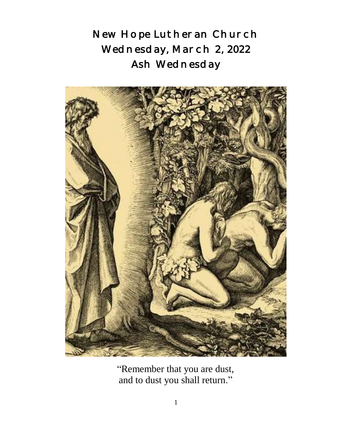New Hope Lutheran Church Wednesday, March 2, 2022 Ash Wednesday



 "Remember that you are dust, and to dust you shall return."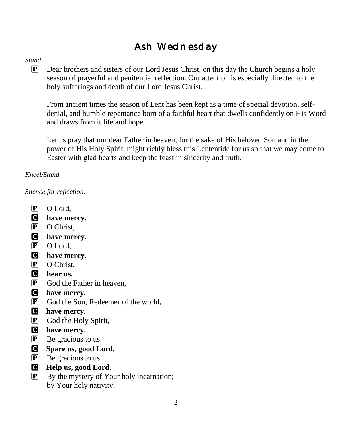## Ash Wednesday

### *Stand*

P Dear brothers and sisters of our Lord Jesus Christ, on this day the Church begins a holy season of prayerful and penitential reflection. Our attention is especially directed to the holy sufferings and death of our Lord Jesus Christ.

From ancient times the season of Lent has been kept as a time of special devotion, selfdenial, and humble repentance born of a faithful heart that dwells confidently on His Word and draws from it life and hope.

Let us pray that our dear Father in heaven, for the sake of His beloved Son and in the power of His Holy Spirit, might richly bless this Lententide for us so that we may come to Easter with glad hearts and keep the feast in sincerity and truth.

### *Kneel/Stand*

*Silence for reflection.*

- P O Lord,
- C **have mercy.**
- P O Christ.
- C **have mercy.**
- P O Lord,
- C **have mercy.**
- P O Christ.
- C **hear us.**
- $\overline{P}$  God the Father in heaven,
- C **have mercy.**
- P God the Son, Redeemer of the world,
- C **have mercy.**
- P God the Holy Spirit,
- C **have mercy.**
- $\mathbf{P}$  Be gracious to us.
- C **Spare us, good Lord.**
- $\left| \mathbf{P} \right|$  Be gracious to us.
- C **Help us, good Lord.**
- $\boxed{\mathbf{P}}$  By the mystery of Your holy incarnation; by Your holy nativity;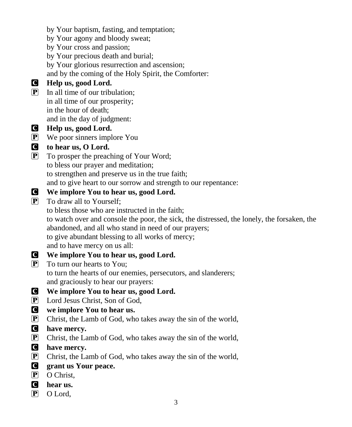by Your baptism, fasting, and temptation; by Your agony and bloody sweat; by Your cross and passion; by Your precious death and burial; by Your glorious resurrection and ascension; and by the coming of the Holy Spirit, the Comforter: C **Help us, good Lord.**  $\boxed{\mathbf{P}}$  In all time of our tribulation; in all time of our prosperity; in the hour of death; and in the day of judgment: C **Help us, good Lord.** P We poor sinners implore You C **to hear us, O Lord.** P To prosper the preaching of Your Word; to bless our prayer and meditation; to strengthen and preserve us in the true faith; and to give heart to our sorrow and strength to our repentance: C **We implore You to hear us, good Lord.**  $\overline{P}$  To draw all to Yourself; to bless those who are instructed in the faith; to watch over and console the poor, the sick, the distressed, the lonely, the forsaken, the abandoned, and all who stand in need of our prayers; to give abundant blessing to all works of mercy; and to have mercy on us all: C **We implore You to hear us, good Lord.**  $\overline{P}$  To turn our hearts to You; to turn the hearts of our enemies, persecutors, and slanderers; and graciously to hear our prayers: C **We implore You to hear us, good Lord.** P Lord Jesus Christ, Son of God, C **we implore You to hear us.** P Christ, the Lamb of God, who takes away the sin of the world, C **have mercy.** P Christ, the Lamb of God, who takes away the sin of the world, C **have mercy.** P Christ, the Lamb of God, who takes away the sin of the world, C **grant us Your peace.** P O Christ, C **hear us.** P O Lord,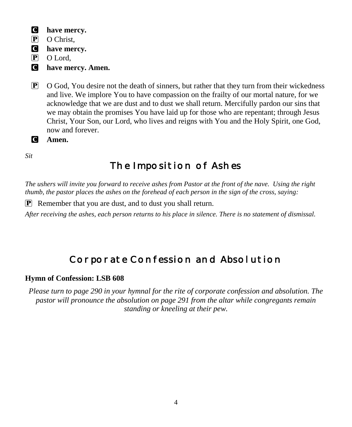- C **have mercy.**
- P O Christ.
- C **have mercy.**
- P O Lord,
- C **have mercy. Amen.**
- $\mathbb{P}$  O God, You desire not the death of sinners, but rather that they turn from their wickedness and live. We implore You to have compassion on the frailty of our mortal nature, for we acknowledge that we are dust and to dust we shall return. Mercifully pardon our sins that we may obtain the promises You have laid up for those who are repentant; through Jesus Christ, Your Son, our Lord, who lives and reigns with You and the Holy Spirit, one God, now and forever.

C **Amen.**

*Sit*

## The Imposition of Ashes

*The ushers will invite you forward to receive ashes from Pastor at the front of the nave. Using the right thumb, the pastor places the ashes on the forehead of each person in the sign of the cross, saying:*

P Remember that you are dust, and to dust you shall return.

*After receiving the ashes, each person returns to his place in silence. There is no statement of dismissal.*

## Corporate Confession and Absolution

### **Hymn of Confession: LSB 608**

*Please turn to page 290 in your hymnal for the rite of corporate confession and absolution. The pastor will pronounce the absolution on page 291 from the altar while congregants remain standing or kneeling at their pew.*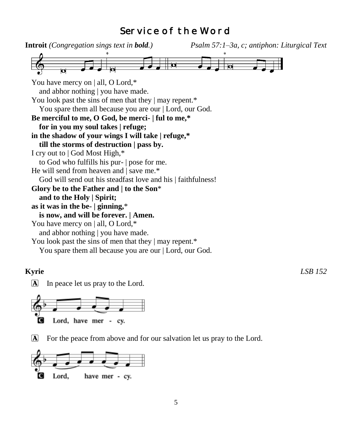## Service of the Word



**Kyrie** *LSB 152*

 $\Delta$  In peace let us pray to the Lord.



For the peace from above and for our salvation let us pray to the Lord.

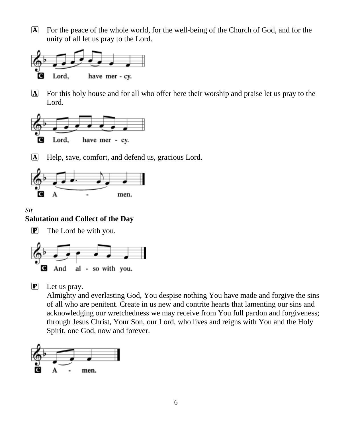A For the peace of the whole world, for the well-being of the Church of God, and for the unity of all let us pray to the Lord.



A For this holy house and for all who offer here their worship and praise let us pray to the Lord.



A Help, save, comfort, and defend us, gracious Lord.



### *Sit*

### **Salutation and Collect of the Day**

**P** The Lord be with you.



P Let us pray.

Almighty and everlasting God, You despise nothing You have made and forgive the sins of all who are penitent. Create in us new and contrite hearts that lamenting our sins and acknowledging our wretchedness we may receive from You full pardon and forgiveness; through Jesus Christ, Your Son, our Lord, who lives and reigns with You and the Holy Spirit, one God, now and forever.

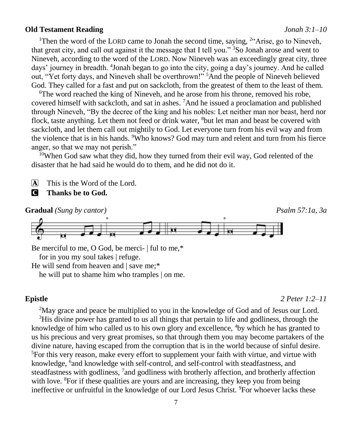### **Old Testament Reading** *Jonah 3:1–10*

<sup>1</sup>Then the word of the LORD came to Jonah the second time, saying,  $24$ <sup>24</sup>Arise, go to Nineveh, that great city, and call out against it the message that I tell you." <sup>3</sup>So Jonah arose and went to Nineveh, according to the word of the LORD. Now Nineveh was an exceedingly great city, three days' journey in breadth. <sup>4</sup>Jonah began to go into the city, going a day's journey. And he called out, "Yet forty days, and Nineveh shall be overthrown!" <sup>5</sup>And the people of Nineveh believed God. They called for a fast and put on sackcloth, from the greatest of them to the least of them.

<sup>6</sup>The word reached the king of Nineveh, and he arose from his throne, removed his robe, covered himself with sackcloth, and sat in ashes. <sup>7</sup>And he issued a proclamation and published through Nineveh, "By the decree of the king and his nobles: Let neither man nor beast, herd nor flock, taste anything. Let them not feed or drink water, <sup>8</sup>but let man and beast be covered with sackcloth, and let them call out mightily to God. Let everyone turn from his evil way and from the violence that is in his hands. <sup>9</sup>Who knows? God may turn and relent and turn from his fierce anger, so that we may not perish."

<sup>10</sup>When God saw what they did, how they turned from their evil way, God relented of the disaster that he had said he would do to them, and he did not do it.

A This is the Word of the Lord.

C **Thanks be to God.**



Be merciful to me, O God, be merci- | ful to me,\* for in you my soul takes | refuge.

He will send from heaven and | save me;\* he will put to shame him who tramples | on me.

### **Epistle** *2 Peter 1:2–11*

<sup>2</sup>May grace and peace be multiplied to you in the knowledge of God and of Jesus our Lord. <sup>3</sup>His divine power has granted to us all things that pertain to life and godliness, through the knowledge of him who called us to his own glory and excellence, <sup>4</sup>by which he has granted to us his precious and very great promises, so that through them you may become partakers of the divine nature, having escaped from the corruption that is in the world because of sinful desire. <sup>5</sup>For this very reason, make every effort to supplement your faith with virtue, and virtue with knowledge, <sup>6</sup> and knowledge with self-control, and self-control with steadfastness, and steadfastness with godliness, <sup>7</sup> and godliness with brotherly affection, and brotherly affection with love. <sup>8</sup>For if these qualities are yours and are increasing, they keep you from being ineffective or unfruitful in the knowledge of our Lord Jesus Christ. <sup>9</sup>For whoever lacks these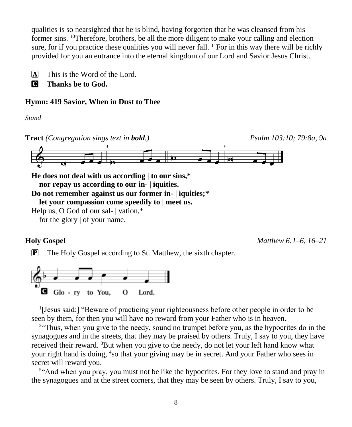qualities is so nearsighted that he is blind, having forgotten that he was cleansed from his former sins. <sup>10</sup>Therefore, brothers, be all the more diligent to make your calling and election sure, for if you practice these qualities you will never fall.  $^{11}$ For in this way there will be richly provided for you an entrance into the eternal kingdom of our Lord and Savior Jesus Christ.

 $\overline{A}$  This is the Word of the Lord.

**C** Thanks be to God.

### **Hymn: 419 Savior, When in Dust to Thee**

*Stand*



**nor repay us according to our in- | iquities.**

**Do not remember against us our former in- | iquities;\***

**let your compassion come speedily to | meet us.**

Help us, O God of our sal- | vation,\*

for the glory | of your name.

**Holy Gospel** *Matthew 6:1–6, 16–21*

P The Holy Gospel according to St. Matthew, the sixth chapter.



<sup>1</sup>[Jesus said:] "Beware of practicing your righteousness before other people in order to be seen by them, for then you will have no reward from your Father who is in heaven.

<sup>2</sup> Thus, when you give to the needy, sound no trumpet before you, as the hypocrites do in the synagogues and in the streets, that they may be praised by others. Truly, I say to you, they have received their reward. <sup>3</sup>But when you give to the needy, do not let your left hand know what your right hand is doing, <sup>4</sup>so that your giving may be in secret. And your Father who sees in secret will reward you.

<sup>5</sup>" And when you pray, you must not be like the hypocrites. For they love to stand and pray in the synagogues and at the street corners, that they may be seen by others. Truly, I say to you,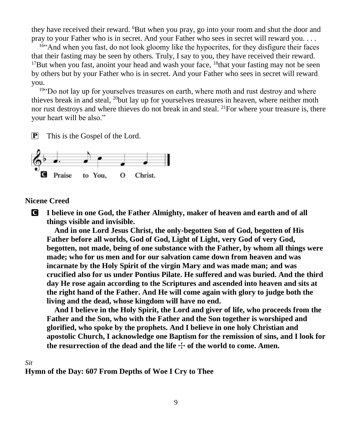they have received their reward. <sup>6</sup>But when you pray, go into your room and shut the door and pray to your Father who is in secret. And your Father who sees in secret will reward you. . . .

<sup>16"</sup>And when you fast, do not look gloomy like the hypocrites, for they disfigure their faces that their fasting may be seen by others. Truly, I say to you, they have received their reward. <sup>17</sup>But when you fast, anoint your head and wash your face,  $18$ that your fasting may not be seen by others but by your Father who is in secret. And your Father who sees in secret will reward you.

<sup>194</sup> Do not lay up for yourselves treasures on earth, where moth and rust destroy and where thieves break in and steal, <sup>20</sup>but lay up for yourselves treasures in heaven, where neither moth nor rust destroys and where thieves do not break in and steal. <sup>21</sup>For where your treasure is, there your heart will be also."

P This is the Gospel of the Lord.



### **Nicene Creed**

C **I believe in one God, the Father Almighty, maker of heaven and earth and of all things visible and invisible.**

**And in one Lord Jesus Christ, the only-begotten Son of God, begotten of His Father before all worlds, God of God, Light of Light, very God of very God, begotten, not made, being of one substance with the Father, by whom all things were made; who for us men and for our salvation came down from heaven and was incarnate by the Holy Spirit of the virgin Mary and was made man; and was crucified also for us under Pontius Pilate. He suffered and was buried. And the third day He rose again according to the Scriptures and ascended into heaven and sits at the right hand of the Father. And He will come again with glory to judge both the living and the dead, whose kingdom will have no end.**

**And I believe in the Holy Spirit, the Lord and giver of life, who proceeds from the Father and the Son, who with the Father and the Son together is worshiped and glorified, who spoke by the prophets. And I believe in one holy Christian and apostolic Church, I acknowledge one Baptism for the remission of sins, and I look for**  the resurrection of the dead and the life  $\pm$  of the world to come. Amen.

### *Sit*

**Hymn of the Day: 607 From Depths of Woe I Cry to Thee**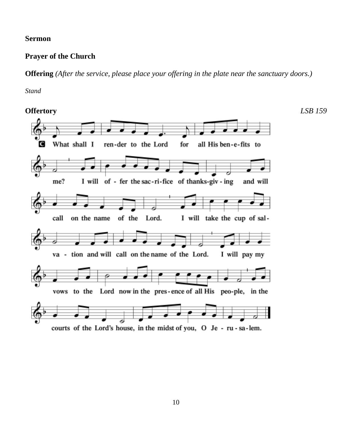### **Sermon**

### **Prayer of the Church**

### **Offering** *(After the service, please place your offering in the plate near the sanctuary doors.)*

*Stand*

**Offertory** *LSB 159* What shall I ren-der to the Lord C for all His ben-e-fits to me? I will of - fer the sac-ri-fice of thanks-giv - ing and will call on the name of the Lord. I will take the cup of salva - tion and will call on the name of the Lord. I will pay my vows to the Lord now in the pres-ence of all His peo-ple, in the courts of the Lord's house, in the midst of you, O Je - ru - sa-lem.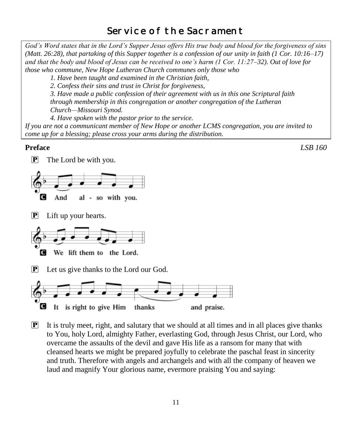## Service of the Sacrament

*God's Word states that in the Lord's Supper Jesus offers His true body and blood for the forgiveness of sins (Matt. 26:28), that partaking of this Supper together is a confession of our unity in faith (1 Cor. 10:16–17) and that the body and blood of Jesus can be received to one's harm (1 Cor. 11:27–32). Out of love for those who commune, New Hope Lutheran Church communes only those who*

*1. Have been taught and examined in the Christian faith,* 

*2. Confess their sins and trust in Christ for forgiveness,* 

*3. Have made a public confession of their agreement with us in this one Scriptural faith through membership in this congregation or another congregation of the Lutheran Church—Missouri Synod.* 

*4. Have spoken with the pastor prior to the service.*

*If you are not a communicant member of New Hope or another LCMS congregation, you are invited to come up for a blessing; please cross your arms during the distribution.*

**Preface** *LSB 160*

 $\boxed{\mathbf{P}}$  The Lord be with you.



P Lift up your hearts.



Let us give thanks to the Lord our God.



 $\mathbf{P}$  It is truly meet, right, and salutary that we should at all times and in all places give thanks to You, holy Lord, almighty Father, everlasting God, through Jesus Christ, our Lord, who overcame the assaults of the devil and gave His life as a ransom for many that with cleansed hearts we might be prepared joyfully to celebrate the paschal feast in sincerity and truth. Therefore with angels and archangels and with all the company of heaven we laud and magnify Your glorious name, evermore praising You and saying: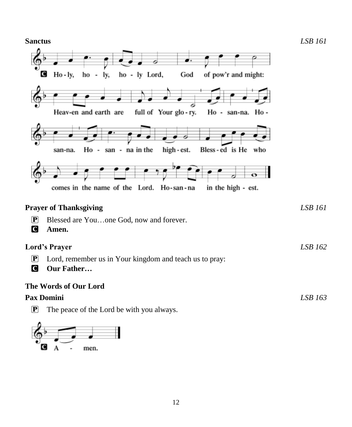**Sanctus** *LSB 161* ड ho - ly Lord, of pow'r and might: C  $Ho - ly,$ God ho lv, Heav-en and earth are full of Your glo-ry. Ho - san-na. Ho -Ho - san - na in the high - est. Bless-ed is He who san-na. comes in the name of the Lord. Ho-san-na in the high - est. **Prayer of Thanksgiving** *LSB 161* P Blessed are You…one God, now and forever. C **Amen. Lord's Prayer** *LSB 162* P Lord, remember us in Your kingdom and teach us to pray: C **Our Father… The Words of Our Lord Pax Domini** *LSB 163*

P The peace of the Lord be with you always.

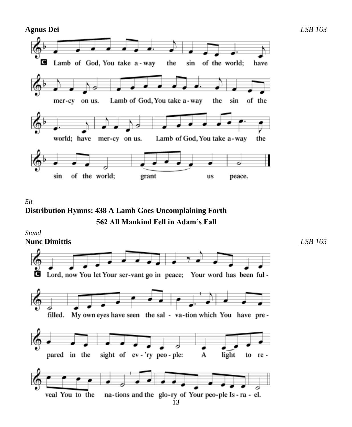

*Sit* **Distribution Hymns: 438 A Lamb Goes Uncomplaining Forth 562 All Mankind Fell in Adam's Fall**

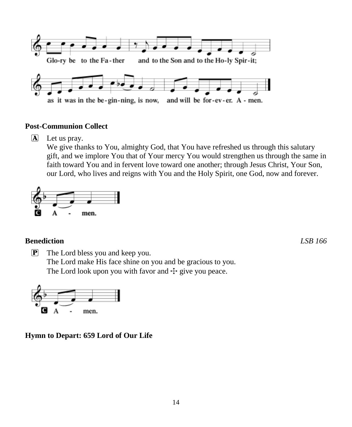

### **Post-Communion Collect**

A Let us pray.

We give thanks to You, almighty God, that You have refreshed us through this salutary gift, and we implore You that of Your mercy You would strengthen us through the same in faith toward You and in fervent love toward one another; through Jesus Christ, Your Son, our Lord, who lives and reigns with You and the Holy Spirit, one God, now and forever.



### **Benediction** *LSB 166*

 $\boxed{\mathbf{P}}$  The Lord bless you and keep you. The Lord make His face shine on you and be gracious to you. The Lord look upon you with favor and  $\pm$  give you peace.



**Hymn to Depart: 659 Lord of Our Life**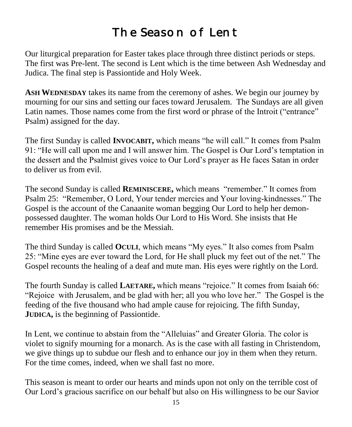# The Season of Lent

Our liturgical preparation for Easter takes place through three distinct periods or steps. The first was Pre-lent. The second is Lent which is the time between Ash Wednesday and Judica. The final step is Passiontide and Holy Week.

**ASH WEDNESDAY** takes its name from the ceremony of ashes. We begin our journey by mourning for our sins and setting our faces toward Jerusalem. The Sundays are all given Latin names. Those names come from the first word or phrase of the Introit ("entrance" Psalm) assigned for the day.

The first Sunday is called **INVOCABIT,** which means "he will call." It comes from Psalm 91: "He will call upon me and I will answer him. The Gospel is Our Lord's temptation in the dessert and the Psalmist gives voice to Our Lord's prayer as He faces Satan in order to deliver us from evil.

The second Sunday is called **REMINISCERE,** which means "remember." It comes from Psalm 25: "Remember, O Lord, Your tender mercies and Your loving-kindnesses." The Gospel is the account of the Canaanite woman begging Our Lord to help her demonpossessed daughter. The woman holds Our Lord to His Word. She insists that He remember His promises and be the Messiah.

The third Sunday is called **OCULI**, which means "My eyes." It also comes from Psalm 25: "Mine eyes are ever toward the Lord, for He shall pluck my feet out of the net." The Gospel recounts the healing of a deaf and mute man. His eyes were rightly on the Lord.

The fourth Sunday is called **LAETARE,** which means "rejoice." It comes from Isaiah 66: "Rejoice with Jerusalem, and be glad with her; all you who love her." The Gospel is the feeding of the five thousand who had ample cause for rejoicing. The fifth Sunday, **JUDICA,** is the beginning of Passiontide.

In Lent, we continue to abstain from the "Alleluias" and Greater Gloria. The color is violet to signify mourning for a monarch. As is the case with all fasting in Christendom, we give things up to subdue our flesh and to enhance our joy in them when they return. For the time comes, indeed, when we shall fast no more.

This season is meant to order our hearts and minds upon not only on the terrible cost of Our Lord's gracious sacrifice on our behalf but also on His willingness to be our Savior